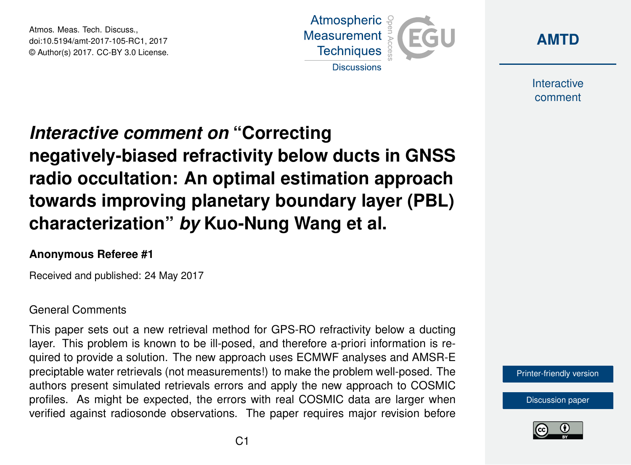Atmos. Meas. Tech. Discuss., doi:10.5194/amt-2017-105-RC1, 2017 © Author(s) 2017. CC-BY 3.0 License.





Interactive comment

# *Interactive comment on* **"Correcting negatively-biased refractivity below ducts in GNSS radio occultation: An optimal estimation approach towards improving planetary boundary layer (PBL) characterization"** *by* **Kuo-Nung Wang et al.**

### **Anonymous Referee #1**

Received and published: 24 May 2017

#### General Comments

This paper sets out a new retrieval method for GPS-RO refractivity below a ducting layer. This problem is known to be ill-posed, and therefore a-priori information is required to provide a solution. The new approach uses ECMWF analyses and AMSR-E preciptable water retrievals (not measurements!) to make the problem well-posed. The authors present simulated retrievals errors and apply the new approach to COSMIC profiles. As might be expected, the errors with real COSMIC data are larger when verified against radiosonde observations. The paper requires major revision before



[Discussion paper](http://www.atmos-meas-tech-discuss.net/amt-2017-105)

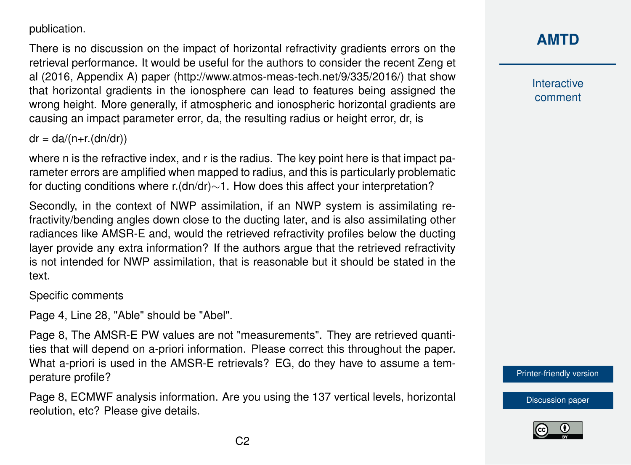publication.

There is no discussion on the impact of horizontal refractivity gradients errors on the retrieval performance. It would be useful for the authors to consider the recent Zeng et al (2016, Appendix A) paper (http://www.atmos-meas-tech.net/9/335/2016/) that show that horizontal gradients in the ionosphere can lead to features being assigned the wrong height. More generally, if atmospheric and ionospheric horizontal gradients are causing an impact parameter error, da, the resulting radius or height error, dr, is

 $dr = da/(n+r.(dn/dr))$ 

where n is the refractive index, and r is the radius. The key point here is that impact parameter errors are amplified when mapped to radius, and this is particularly problematic for ducting conditions where r.(dn/dr)∼1. How does this affect your interpretation?

Secondly, in the context of NWP assimilation, if an NWP system is assimilating refractivity/bending angles down close to the ducting later, and is also assimilating other radiances like AMSR-E and, would the retrieved refractivity profiles below the ducting layer provide any extra information? If the authors argue that the retrieved refractivity is not intended for NWP assimilation, that is reasonable but it should be stated in the text.

Specific comments

Page 4, Line 28, "Able" should be "Abel".

Page 8, The AMSR-E PW values are not "measurements". They are retrieved quantities that will depend on a-priori information. Please correct this throughout the paper. What a-priori is used in the AMSR-E retrievals? EG, do they have to assume a temperature profile?

Page 8, ECMWF analysis information. Are you using the 137 vertical levels, horizontal reolution, etc? Please give details.

## **[AMTD](http://www.atmos-meas-tech-discuss.net/)**

Interactive comment

[Printer-friendly version](http://www.atmos-meas-tech-discuss.net/amt-2017-105/amt-2017-105-RC1-print.pdf)

[Discussion paper](http://www.atmos-meas-tech-discuss.net/amt-2017-105)